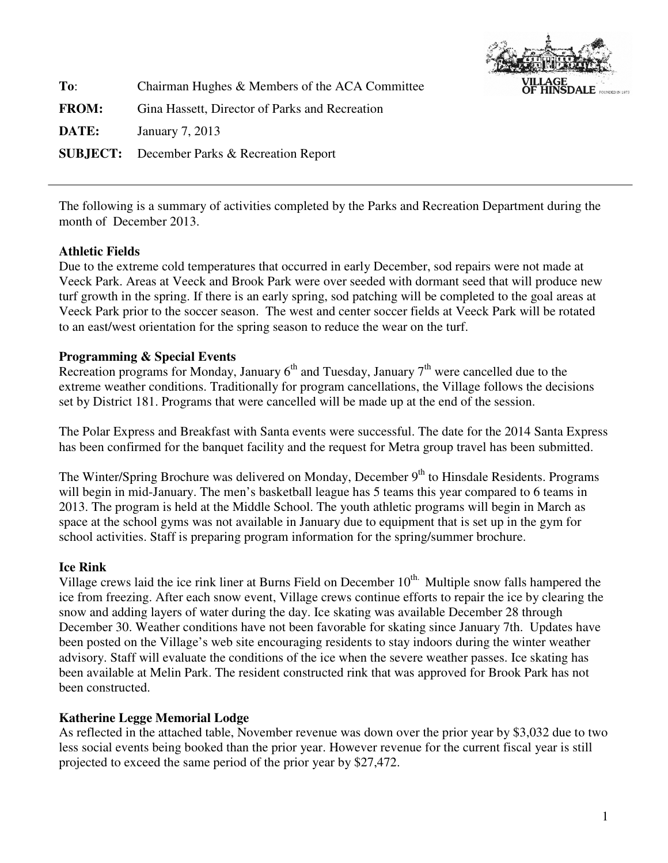

**To**: Chairman Hughes & Members of the ACA Committee **FROM:** Gina Hassett, Director of Parks and Recreation **DATE:** January 7, 2013 **SUBJECT:** December Parks & Recreation Report

The following is a summary of activities completed by the Parks and Recreation Department during the month of December 2013.

# **Athletic Fields**

Due to the extreme cold temperatures that occurred in early December, sod repairs were not made at Veeck Park. Areas at Veeck and Brook Park were over seeded with dormant seed that will produce new turf growth in the spring. If there is an early spring, sod patching will be completed to the goal areas at Veeck Park prior to the soccer season. The west and center soccer fields at Veeck Park will be rotated to an east/west orientation for the spring season to reduce the wear on the turf.

## **Programming & Special Events**

Recreation programs for Monday, January  $6<sup>th</sup>$  and Tuesday, January  $7<sup>th</sup>$  were cancelled due to the extreme weather conditions. Traditionally for program cancellations, the Village follows the decisions set by District 181. Programs that were cancelled will be made up at the end of the session.

The Polar Express and Breakfast with Santa events were successful. The date for the 2014 Santa Express has been confirmed for the banquet facility and the request for Metra group travel has been submitted.

The Winter/Spring Brochure was delivered on Monday, December 9<sup>th</sup> to Hinsdale Residents. Programs will begin in mid-January. The men's basketball league has 5 teams this year compared to 6 teams in 2013. The program is held at the Middle School. The youth athletic programs will begin in March as space at the school gyms was not available in January due to equipment that is set up in the gym for school activities. Staff is preparing program information for the spring/summer brochure.

### **Ice Rink**

Village crews laid the ice rink liner at Burns Field on December 10<sup>th.</sup> Multiple snow falls hampered the ice from freezing. After each snow event, Village crews continue efforts to repair the ice by clearing the snow and adding layers of water during the day. Ice skating was available December 28 through December 30. Weather conditions have not been favorable for skating since January 7th. Updates have been posted on the Village's web site encouraging residents to stay indoors during the winter weather advisory. Staff will evaluate the conditions of the ice when the severe weather passes. Ice skating has been available at Melin Park. The resident constructed rink that was approved for Brook Park has not been constructed.

### **Katherine Legge Memorial Lodge**

As reflected in the attached table, November revenue was down over the prior year by \$3,032 due to two less social events being booked than the prior year. However revenue for the current fiscal year is still projected to exceed the same period of the prior year by \$27,472.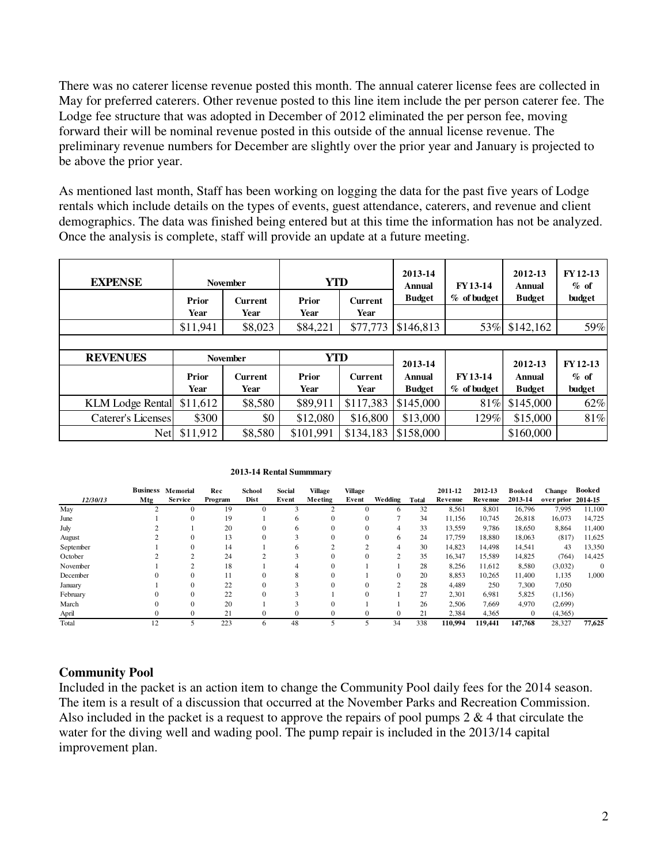There was no caterer license revenue posted this month. The annual caterer license fees are collected in May for preferred caterers. Other revenue posted to this line item include the per person caterer fee. The Lodge fee structure that was adopted in December of 2012 eliminated the per person fee, moving forward their will be nominal revenue posted in this outside of the annual license revenue. The preliminary revenue numbers for December are slightly over the prior year and January is projected to be above the prior year.

As mentioned last month, Staff has been working on logging the data for the past five years of Lodge rentals which include details on the types of events, guest attendance, caterers, and revenue and client demographics. The data was finished being entered but at this time the information has not be analyzed. Once the analysis is complete, staff will provide an update at a future meeting.

| <b>EXPENSE</b>            |                 | <b>November</b>        | <b>YTD</b>    |                        | 2013-14<br>Annual        | FY13-14       | 2012-13<br><b>Annual</b> | <b>FY12-13</b><br>$%$ of<br>budget |  |
|---------------------------|-----------------|------------------------|---------------|------------------------|--------------------------|---------------|--------------------------|------------------------------------|--|
|                           | Prior<br>Year   | <b>Current</b><br>Year | Prior<br>Year | <b>Current</b><br>Year | <b>Budget</b>            | $%$ of budget | <b>Budget</b>            |                                    |  |
|                           | \$11,941        | \$8,023                | \$84,221      | \$77,773               | \$146,813                | 53%           | \$142,162                | 59%                                |  |
|                           |                 |                        |               |                        |                          |               |                          |                                    |  |
|                           | <b>November</b> |                        |               |                        |                          |               |                          |                                    |  |
| <b>REVENUES</b>           |                 |                        | YTD           |                        |                          |               |                          |                                    |  |
|                           | Prior           | <b>Current</b>         | Prior         | <b>Current</b>         | 2013-14<br><b>Annual</b> | FY 13-14      | 2012-13<br><b>Annual</b> | FY12-13<br>$%$ of                  |  |
|                           | Year            | Year                   | Year          | Year                   | <b>Budget</b>            | % of budget   | <b>Budget</b>            | budget                             |  |
| <b>KLM</b> Lodge Rental   | \$11,612        | \$8,580                | \$89,911      | \$117,383              | \$145,000                | 81%           | \$145,000                | 62%                                |  |
| <b>Caterer's Licenses</b> | \$300           | \$0                    | \$12,080      | \$16,800               | \$13,000                 | 129%          | \$15,000                 | 81%                                |  |

#### **2013-14 Rental Summmary**

|           |            | <b>Business Memorial</b> | Rec     | School   | Social       | Village      | <b>Village</b> |                 |       | 2011-12 | 2012-13 | Booked       | <b>Change</b>      | <b>Booked</b> |
|-----------|------------|--------------------------|---------|----------|--------------|--------------|----------------|-----------------|-------|---------|---------|--------------|--------------------|---------------|
| 12/30/13  | <b>Mtg</b> | <b>Service</b>           | Program | Dist     | Event        | Meeting      | Event          | <b>We dding</b> | Total | Revenue | Revenue | 2013-14      | over prior 2014-15 |               |
| May       |            | $\Omega$                 | 19      |          |              |              |                | 6               | 32    | 8,561   | 8,801   | 16,796       | 7,995              | 11,100        |
| June      |            | $^{0}$                   | 19      |          | 6            | $\mathbf{0}$ | 0              |                 | 34    | 11,156  | 10,745  | 26,818       | 16,073             | 14,725        |
| July      |            |                          | 20      | $\Omega$ | 6            | $\Omega$     | 0              | 4               | 33    | 13,559  | 9,786   | 18,650       | 8,864              | 11,400        |
| August    |            | $\theta$                 | 13      | $\Omega$ |              | $\Omega$     | 0              | 6               | 24    | 17,759  | 18,880  | 18,063       | (817)              | 11,625        |
| September |            | $\Omega$                 | 14      |          |              |              | ↑              | 4               | 30    | 14.823  | 14,498  | 14,541       | 43                 | 13,350        |
| October   |            |                          | 24      |          |              | $\Omega$     | 0              | 2               | 35    | 16,347  | 15,589  | 14,825       | (764)              | 14,425        |
| November  |            |                          | 18      |          |              | $\Omega$     |                |                 | 28    | 8,256   | 11,612  | 8,580        | (3,032)            | $\mathbf{0}$  |
| December  |            | $\Omega$                 | 11      | $\Omega$ | 8            | $\Omega$     |                | $\mathbf{0}$    | 20    | 8,853   | 10.265  | 11,400       | 1,135              | 1,000         |
| January   |            | $\Omega$                 | 22      | $\Omega$ |              | $\Omega$     | 0              | $\overline{c}$  | 28    | 4,489   | 250     | 7,300        | 7,050              |               |
| February  |            | $\Omega$                 | 22      | $\Omega$ |              |              | 0              |                 | 27    | 2,301   | 6.981   | 5,825        | (1,156)            |               |
| March     |            | $\Omega$                 | 20      |          |              | $\Omega$     |                |                 | 26    | 2,506   | 7,669   | 4,970        | (2,699)            |               |
| April     |            | $\Omega$                 | 21      | 0        | $\mathbf{0}$ | $\Omega$     | 0              | $\mathbf{0}$    | 21    | 2,384   | 4,365   | $\mathbf{0}$ | (4,365)            |               |
| Total     | 12         |                          | 223     | 6        | 48           |              |                | 34              | 338   | 110.994 | 119,441 | 147,768      | 28,327             | 77,625        |

### **Community Pool**

Included in the packet is an action item to change the Community Pool daily fees for the 2014 season. The item is a result of a discussion that occurred at the November Parks and Recreation Commission. Also included in the packet is a request to approve the repairs of pool pumps  $2 \& 4$  that circulate the water for the diving well and wading pool. The pump repair is included in the 2013/14 capital improvement plan.